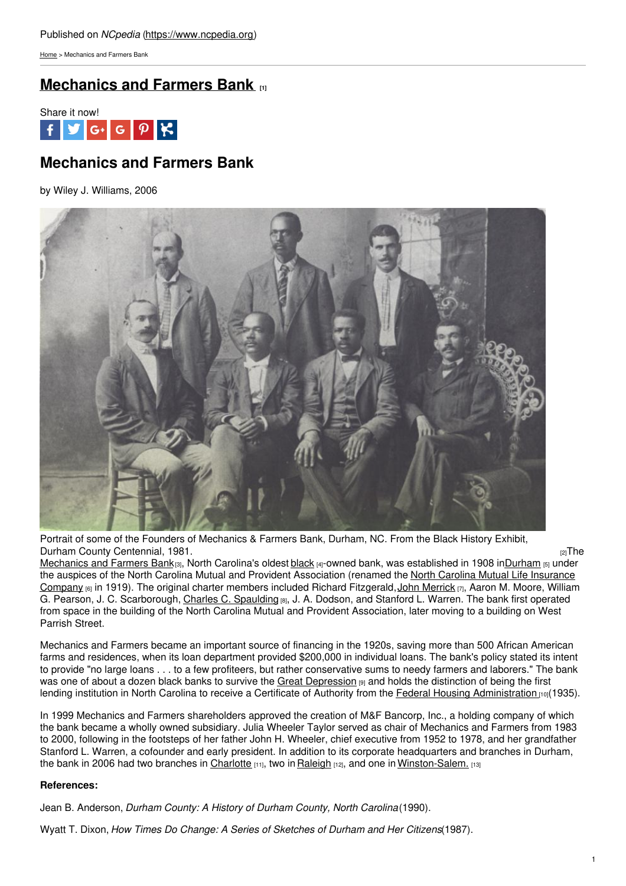[Home](https://www.ncpedia.org/) > Mechanics and Farmers Bank

# **[Mechanics](https://www.ncpedia.org/mechanics-and-farmers-bank) and Farmers Bank [1]**



# **Mechanics and Farmers Bank**

by Wiley J. Williams, 2006



Portrait of some of the Founders of Mechanics & Farmers Bank, Durham, NC. From the Black History Exhibit, Durham County [Centennial,](https://www.ncpedia.org/media/some-founders-mechanics) 1981. **Durcham County Centennial, 1981.** 

[Mechanics](https://www.mfbonline.com) and Farmers Bank[3], North Carolina's oldest [black](https://www.ncpedia.org/african-americans/introduction) [4]-owned bank, was established in 1908 i[nDurham](https://www.ncpedia.org/geography/durham-city) [5] under the auspices of the North Carolina Mutual and Provident Association (renamed the North Carolina Mutual Life Insurance Company (6) in 1919). The original charter members included Richard Fitzgerald, John [Merrick](https://www.ncpedia.org/biography/merrick-john)  $\pi$ , Aaron M. Moore, William G. Pearson, J. C. Scarborough, Charles C. [Spaulding](https://www.ncpedia.org/biography/spaulding-charles-clinton) [8], J. A. Dodson, and Stanford L. Warren. The bank first operated from space in the building of the North Carolina Mutual and Provident Association, later moving to a building on West Parrish Street.

Mechanics and Farmers became an important source of financing in the 1920s, saving more than 500 African American farms and residences, when its loan department provided \$200,000 in individual loans. The bank's policy stated its intent to provide "no large loans . . . to a few profiteers, but rather conservative sums to needy farmers and laborers." The bank was one of about a dozen black banks to survive the Great [Depression](https://www.ncpedia.org/history/20th-Century/great-depression) [9] and holds the distinction of being the first lending institution in North Carolina to receive a Certificate of Authority from the Federal Housing [Administration](http://portal.hud.gov/hudportal/HUD?src=/federal_housing_administration) [10](1935).

In 1999 Mechanics and Farmers shareholders approved the creation of M&F Bancorp, Inc., a holding company of which the bank became a wholly owned subsidiary. Julia Wheeler Taylor served as chair of Mechanics and Farmers from 1983 to 2000, following in the footsteps of her father John H. Wheeler, chief executive from 1952 to 1978, and her grandfather Stanford L. Warren, a cofounder and early president. In addition to its corporate headquarters and branches in Durham, the bank in 2006 had two branches in [Charlotte](https://www.ncpedia.org/geography/charlotte) [11], two in [Raleigh](https://www.ncpedia.org/geography/raleigh) [12], and one in [Winston-Salem.](https://www.ncpedia.org/geography/winston-salem) [13]

## **References:**

Jean B. Anderson, *Durham County: A History of Durham County, North Carolina*(1990).

Wyatt T. Dixon, *How Times Do Change: A Series of Sketches of Durham and Her Citizens*(1987).